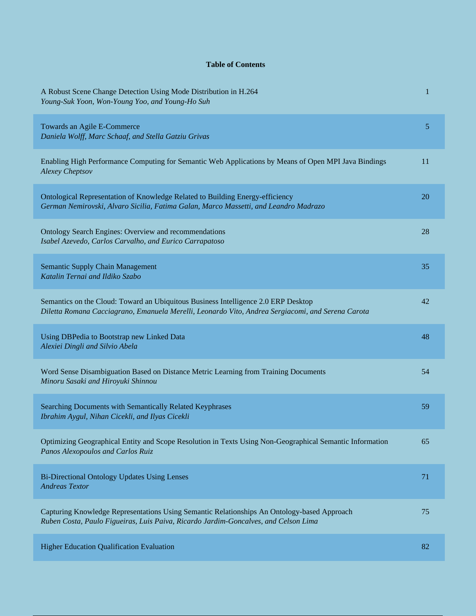## **Table of Contents**

| A Robust Scene Change Detection Using Mode Distribution in H.264<br>Young-Suk Yoon, Won-Young Yoo, and Young-Ho Suh                                                                     | 1  |
|-----------------------------------------------------------------------------------------------------------------------------------------------------------------------------------------|----|
| Towards an Agile E-Commerce<br>Daniela Wolff, Marc Schaaf, and Stella Gatziu Grivas                                                                                                     | 5  |
| Enabling High Performance Computing for Semantic Web Applications by Means of Open MPI Java Bindings<br><b>Alexey Cheptsov</b>                                                          | 11 |
| Ontological Representation of Knowledge Related to Building Energy-efficiency<br>German Nemirovski, Alvaro Sicilia, Fatima Galan, Marco Massetti, and Leandro Madrazo                   | 20 |
| Ontology Search Engines: Overview and recommendations<br>Isabel Azevedo, Carlos Carvalho, and Eurico Carrapatoso                                                                        | 28 |
| <b>Semantic Supply Chain Management</b><br>Katalin Ternai and Ildiko Szabo                                                                                                              | 35 |
| Semantics on the Cloud: Toward an Ubiquitous Business Intelligence 2.0 ERP Desktop<br>Diletta Romana Cacciagrano, Emanuela Merelli, Leonardo Vito, Andrea Sergiacomi, and Serena Carota | 42 |
| Using DBPedia to Bootstrap new Linked Data<br>Alexiei Dingli and Silvio Abela                                                                                                           | 48 |
| Word Sense Disambiguation Based on Distance Metric Learning from Training Documents<br>Minoru Sasaki and Hiroyuki Shinnou                                                               | 54 |
| Searching Documents with Semantically Related Keyphrases<br>Ibrahim Aygul, Nihan Cicekli, and Ilyas Cicekli                                                                             | 59 |
| Optimizing Geographical Entity and Scope Resolution in Texts Using Non-Geographical Semantic Information<br>Panos Alexopoulos and Carlos Ruiz                                           | 65 |
| <b>Bi-Directional Ontology Updates Using Lenses</b><br><b>Andreas Textor</b>                                                                                                            | 71 |
| Capturing Knowledge Representations Using Semantic Relationships An Ontology-based Approach<br>Ruben Costa, Paulo Figueiras, Luis Paiva, Ricardo Jardim-Goncalves, and Celson Lima      | 75 |
| <b>Higher Education Qualification Evaluation</b>                                                                                                                                        | 82 |